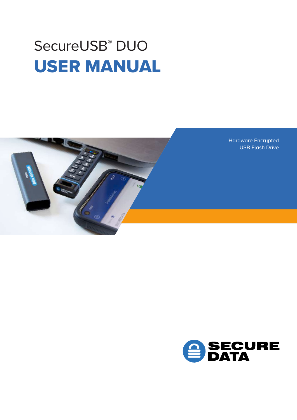# SecureUSB<sup>®</sup> DUO USER MANUAL



Hardware Encrypted USB Flash Drive

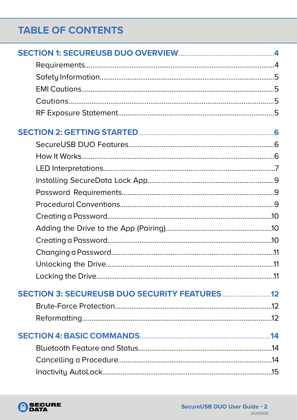# **TABLE OF CONTENTS**

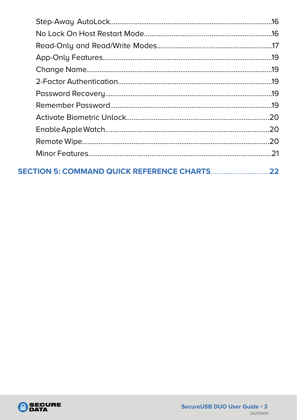| 22 |
|----|

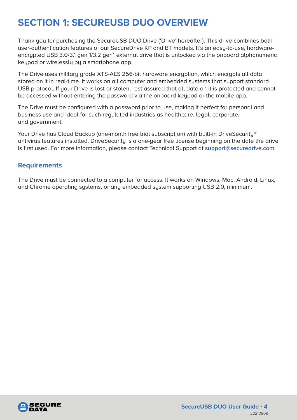# <span id="page-3-0"></span>**SECTION 1: SECUREUSB DUO OVERVIEW**

Thank you for purchasing the SecureUSB DUO Drive ('Drive' hereafter). This drive combines both user-authentication features of our SecureDrive KP and BT models. It's an easy-to-use, hardwareencrypted USB 3.0/3.1 gen 1/3.2 gen1 external drive that is unlocked via the onboard alphanumeric keypad or wirelessly by a smartphone app.

The Drive uses militaru grade XTS-AES 256-bit hardware encruption, which encrupts all data stored on it in real-time. It works on all computer and embedded systems that support standard USB protocol. If your Drive is lost or stolen, rest assured that all data on it is protected and cannot be accessed without entering the password via the onboard keypad or the mobile app.

The Drive must be configured with a password prior to use, making it perfect for personal and business use and ideal for such regulated industries as healthcare, legal, corporate, and government.

Your Drive has Cloud Backup (one-month free trial subscription) with built-in DriveSecurity® antivirus features installed. DriveSecuritu is a one-year free license beginning on the date the drive is first used. For more information, please contact Technical Support at **support@securedrive.com**.

#### **Requirements**

The Drive must be connected to a computer for access. It works on Windows, Mac, Android, Linux, and Chrome operating systems, or any embedded system supporting USB 2.0, minimum.

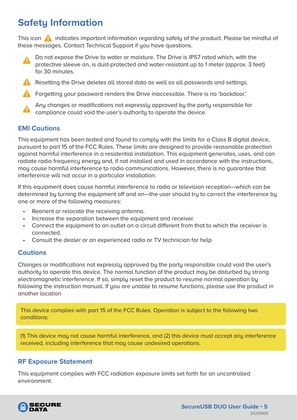# <span id="page-4-0"></span>**Safety Information**

This icon  $\Box$  indicates important information regarding safety of the product. Please be mindful of these messages. Contact Technical Support if you have questions.



Resetting the Drive deletes all stored data as well as all passwords and settings.

**A** Forgetting your password renders the Drive inaccessible. There is no 'backdoor.'



Any changes or modifications not expressly approved by the party responsible for compliance could void the user's authority to operate the device.

#### **EMI Cautions**

This equipment has been tested and found to comply with the limits for a Class B digital device, pursuant to part 15 of the FCC Rules. These limits are designed to provide reasonable protection against harmful interference in a residential installation. This equipment generates, uses, and can radiate radio frequency energy and, if not installed and used in accordance with the instructions, may cause harmful interference to radio communications. However, there is no guarantee that interference will not occur in a particular installation.

If this equipment does cause harmful interference to radio or television reception—which can be determined by turning the equipment off and on—the user should try to correct the interference by one or more of the following measures:

- Reorient or relocate the receiving antenna.
- Increase the separation between the equipment and receiver.
- Connect the equipment to an outlet on a circuit different from that to which the receiver is connected.
- Consult the dealer or an experienced radio or TV technician for help

#### **Cautions**

Changes or modifications not expressly approved by the party responsible could void the user's authority to operate this device. The normal function of the product may be disturbed by strong electromagnetic interference. If so, simply reset the product to resume normal operation by following the instruction manual. If you are unable to resume functions, please use the product in another location

This device complies with part 15 of the FCC Rules. Operation is subject to the following two conditions:

(1) This device may not cause harmful interference, and (2) this device must accept any interference received, including interference that may cause undesired operations.

#### **RF Exposure Statement**

This equipment complies with FCC radiation exposure limits set forth for an uncontrolled environment.

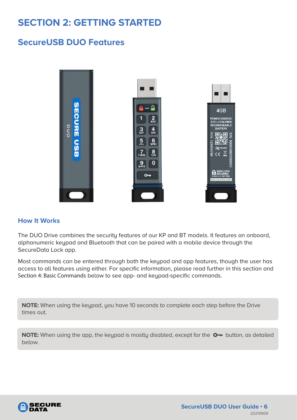# <span id="page-5-0"></span>**SECTION 2: GETTING STARTED**

#### **SecureUSB DUO Features**



#### **How It Works**

The DUO Drive combines the security features of our KP and BT models. It features an onboard, alphanumeric keypad and Bluetooth that can be paired with a mobile device through the SecureData Lock app.

Most commands can be entered through both the keypad and app features, though the user has access to all features using either. For specific information, please read further in this section and Section 4: Basic Commands below to see app- and keypad-specific commands.

**NOTE:** When using the keypad, you have 10 seconds to complete each step before the Drive times out.

**NOTE:** When using the app, the keypad is mostly disabled, except for the  $O_{\rightarrow}$  button, as detailed below.

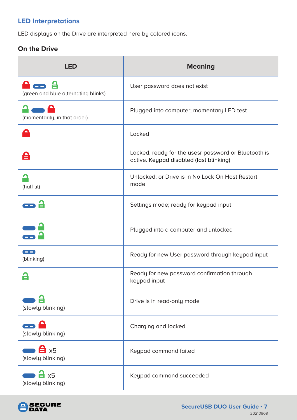#### <span id="page-6-0"></span>**LED Interpretations**

LED displays on the Drive are interpreted here by colored icons.

#### **On the Drive**

| <b>LED</b>                                       | <b>Meaning</b>                                                                                  |
|--------------------------------------------------|-------------------------------------------------------------------------------------------------|
| (green and blue alternating blinks)              | User password does not exist                                                                    |
| (momentarily, in that order)                     | Plugged into computer; momentary LED test                                                       |
|                                                  | Locked                                                                                          |
| 台                                                | Locked, ready for the usesr password or Bluetooth is<br>active. Keypad disabled (fast blinking) |
| (half lit)                                       | Unlocked; or Drive is in No Lock On Host Restart<br>mode                                        |
|                                                  | Settings mode; ready for keypad input                                                           |
|                                                  | Plugged into a computer and unlocked                                                            |
| <u>and a</u><br>(blinking)                       | Ready for new User password through keypad input                                                |
|                                                  | Ready for new password confirmation through<br>keypad input                                     |
| (slowly blinking)                                | Drive is in read-only mode                                                                      |
| <u>e re</u><br>(slowly blinking)                 | Charging and locked                                                                             |
| $\mathbf{a}$ x <sub>5</sub><br>(slowly blinking) | Keypad command failed                                                                           |
| $\frac{1}{2}$ x5<br>(slowly blinking)            | Keypad command succeeded                                                                        |

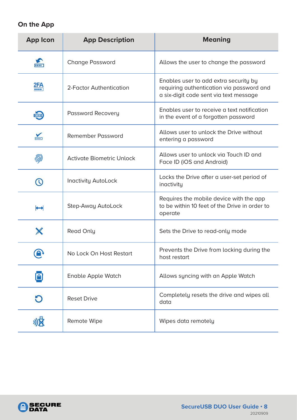#### **On the App**

| <b>App Icon</b>      | <b>App Description</b>           | <b>Meaning</b>                                                                                                               |
|----------------------|----------------------------------|------------------------------------------------------------------------------------------------------------------------------|
|                      | <b>Change Password</b>           | Allows the user to change the password                                                                                       |
| 2FA                  | 2-Factor Authentication          | Enables user to add extra security by<br>requiring authentication via password and<br>a six-digit code sent via text message |
| $\frac{1}{\sqrt{2}}$ | Password Recovery                | Enables user to receive a text notification<br>in the event of a forgotten password                                          |
|                      | <b>Remember Password</b>         | Allows user to unlock the Drive without<br>entering a password                                                               |
| 劢                    | <b>Activate Biometric Unlock</b> | Allows user to unlock vig Touch ID and<br>Face ID (iOS and Android)                                                          |
|                      | <b>Inactivity AutoLock</b>       | Locks the Drive after a user-set period of<br>inactivity                                                                     |
| ↔                    | Step-Away AutoLock               | Requires the mobile device with the app<br>to be within 10 feet of the Drive in order to<br>operate                          |
|                      | <b>Read Only</b>                 | Sets the Drive to read-only mode                                                                                             |
|                      | No Lock On Host Restart          | Prevents the Drive from locking during the<br>host restart                                                                   |
|                      | <b>Enable Apple Watch</b>        | Allows syncing with an Apple Watch                                                                                           |
|                      | <b>Reset Drive</b>               | Completely resets the drive and wipes all<br>data                                                                            |
|                      | Remote Wipe                      | Wipes data remotely                                                                                                          |

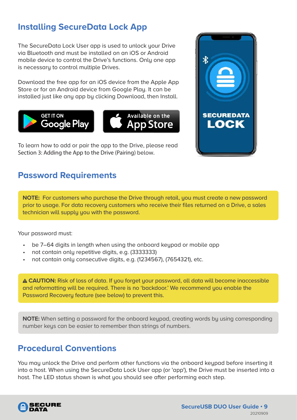### <span id="page-8-0"></span>**Installing SecureData Lock App**

The SecureData Lock User app is used to unlock your Drive via Bluetooth and must be installed on an iOS or Android mobile device to control the Drive's functions. Only one app is necessary to control multiple Drives.

Download the free app for an iOS device from the Apple App Store or for an Android device from Google Play. It can be installed just like any app by clicking Download, then Install.



To learn how to add or pair the app to the Drive, please read Section 3: Adding the App to the Drive (Pairing) below.

### **Password Requirements**

**NOTE:** For customers who purchase the Drive through retail, you must create a new password prior to usage. For data recovery customers who receive their files returned on a Drive, a sales technician will supply you with the password.

Your password must:

- be 7–64 digits in length when using the onboard keypad or mobile app
- not contain only repetitive digits, e.g. (3333333)
- not contain only consecutive digits, e.g. (1234567), (7654321), etc.

 **CAUTION:** Risk of loss of data. If you forget your password, all data will become inaccessible and reformatting will be required. There is no 'backdoor.' We recommend you enable the Password Recovery feature (see below) to prevent this.

**NOTE:** When setting a password for the onboard keypad, creating words by using corresponding number keys can be easier to remember than strings of numbers.

### **Procedural Conventions**

You may unlock the Drive and perform other functions via the onboard keypad before inserting it into a host. When using the SecureData Lock User app (or 'app'), the Drive must be inserted into a host. The LED status shown is what you should see after performing each step.



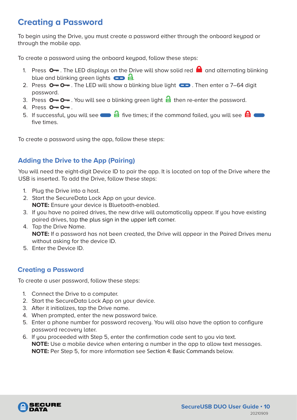### <span id="page-9-0"></span>**Creating a Password**

To begin using the Drive, you must create a password either through the onboard keypad or through the mobile app.

To create a password using the onboard keupad, follow these steps:

- 1. Press  $\circ$  . The LED displays on the Drive will show solid red  $\bullet$  and alternating blinking blue and blinking green lights  $\Box$   $\Box$
- 2. Press  $\circ$   $\circ$   $\circ$ . The LED will show a blinking blue light  $\circ$   $\circ$ . Then enter a 7–64 digit password.
- 3. Press  $\circ$   $\circ$   $\circ$   $\circ$   $\circ$  You will see a blinking green light  $\circ$  then re-enter the password.
- 4. Press  $O O -$ .
- 5. If successful, you will see  $\blacksquare$  five times; if the command failed, you will see  $\blacksquare$ five times.

To create a password using the app, follow these steps:

#### **Adding the Drive to the App (Pairing)**

You will need the eight-digit Device ID to pair the app. It is located on top of the Drive where the USB is inserted. To add the Drive, follow these steps:

- 1. Plug the Drive into a host.
- 2. Start the SecureData Lock App on your device. **NOTE:** Ensure your device is Bluetooth-enabled.
- 3. If you have no paired drives, the new drive will automatically appear. If you have existing paired drives, tap the plus sign in the upper left corner.
- 4. Tap the Drive Name. **NOTE:** If a password has not been created, the Drive will appear in the Paired Drives menu
- without asking for the device ID.
- 5. Enter the Device ID.

#### **Creating a Password**

To create a user password, follow these steps:

- 1. Connect the Drive to a computer.
- 2. Start the SecureData Lock App on your device.
- 3. After it initializes, tap the Drive name.
- 4. When prompted, enter the new password twice.
- 5. Enter a phone number for password recovery. You will also have the option to configure password recovery later.
- 6. If you proceeded with Step 5, enter the confirmation code sent to you via text. **NOTE:** Use a mobile device when entering a number in the app to allow text messages. **NOTE:** Per Step 5, for more information see Section 4: Basic Commands below.

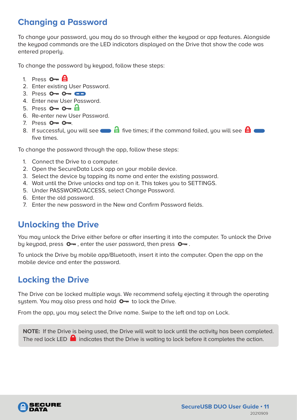### <span id="page-10-0"></span>**Changing a Password**

To change your password, you may do so through either the keypad or app features. Alongside the keypad commands are the LED indicators displayed on the Drive that show the code was entered properly.

To change the password by keypad, follow these steps:

- 1. Press  $O A$
- 2. Enter existing User Password.
- 3. Press 0 0 0 0
- 4. Enter new User Password.
- 5. Press  $O O H$
- 6. Re-enter new User Password.
- 7. Press  $0 0 -$ .
- 8. If successful, you will see  $\blacksquare$  five times; if the command failed, you will see  $\blacksquare$ five times.

To change the password through the app, follow these steps:

- 1. Connect the Drive to a computer.
- 2. Open the SecureData Lock app on your mobile device.
- 3. Select the device by tapping its name and enter the existing password.
- 4. Wait until the Drive unlocks and tap on it. This takes you to SETTINGS.
- 5. Under PASSWORD/ACCESS, select Change Password.
- 6. Enter the old password.
- 7. Enter the new password in the New and Confirm Password fields.

### **Unlocking the Drive**

You may unlock the Drive either before or after inserting it into the computer. To unlock the Drive by keypad, press  $\bullet$ , enter the user password, then press  $\bullet$ .

To unlock the Drive by mobile app/Bluetooth, insert it into the computer. Open the app on the mobile device and enter the password.

# **Locking the Drive**

The Drive can be locked multiple ways. We recommend safely ejecting it through the operating system. You may also press and hold  $O -$  to lock the Drive.

From the app, you may select the Drive name. Swipe to the left and tap on Lock.

**NOTE:** If the Drive is being used, the Drive will wait to lock until the activity has been completed. The red lock LED  $\Box$  indicates that the Drive is waiting to lock before it completes the action.

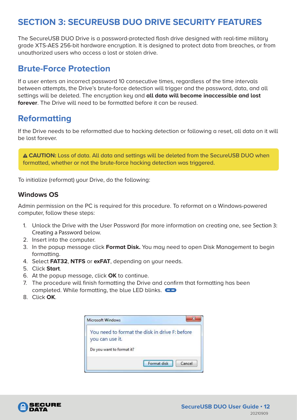### <span id="page-11-0"></span>**SECTION 3: SECUREUSB DUO DRIVE SECURITY FEATURES**

The SecureUSB DUO Drive is a password-protected flash drive designed with real-time military grade XTS-AES 256-bit hardware encryption. It is designed to protect data from breaches, or from unauthorized users who access a lost or stolen drive.

#### **Brute-Force Protection**

If a user enters an incorrect password 10 consecutive times, regardless of the time intervals between attempts, the Drive's brute-force detection will trigger and the password, data, and all settings will be deleted. The encryption key and **all data will become inaccessible and lost forever**. The Drive will need to be formatted before it can be reused.

### **Reformatting**

If the Drive needs to be reformatted due to hacking detection or following a reset, all data on it will be lost forever.

 **CAUTION:** Loss of data. All data and settings will be deleted from the SecureUSB DUO when formatted, whether or not the brute-force hacking detection was triggered.

To initialize (reformat) your Drive, do the following:

#### **Windows OS**

Admin permission on the PC is required for this procedure. To reformat on a Windows-powered computer, follow these steps:

- 1. Unlock the Drive with the User Password (for more information on creating one, see Section 3: Creating a Password below.
- 2. Insert into the computer.
- 3. In the popup message click **Format Disk.** You may need to open Disk Management to begin formatting.
- 4. Select **FAT32**, **NTFS** or **exFAT**, depending on your needs.
- 5. Click **Start**.
- 6. At the popup message, click **OK** to continue.
- 7. The procedure will finish formatting the Drive and confirm that formatting has been completed. While formatting, the blue LED blinks.
- 8. Click **OK**.



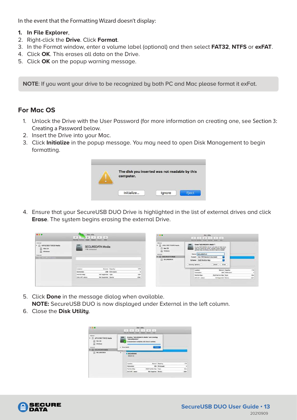In the event that the Formatting Wizard doesn't display:

- **1. In File Explorer**,
- 2. Right-click the **Drive**. Click **Format**.
- 3. In the Format window, enter a volume label (optional) and then select **FAT32**, **NTFS** or **exFAT**.
- 4. Click **OK**. This erases all data on the Drive.
- 5. Click **OK** on the popup warning message.

**NOTE**: If you want your drive to be recognized by both PC and Mac please format it exFat.

#### **For Mac OS**

- 1. Unlock the Drive with the User Password (for more information on creating one, see Section 3: Creating a Password below.
- 2. Insert the Drive into your Mac.
- 3. Click **Initialize** in the popup message. You may need to open Disk Management to begin formatting.

| The disk you inserted was not readable by this<br>computer. |  |
|-------------------------------------------------------------|--|
|                                                             |  |
|                                                             |  |
| Initialize                                                  |  |

4. Ensure that your SecureUSB DUO Drive is highlighted in the list of external drives and click **Erase**. The system begins erasing the external Drive.

| $\bullet$ $\bullet$                                                                                                                                 | Disk Utility<br>$-49$<br>First Aid Prodition<br><b>Steam</b> | $\circ$<br>$\Diamond$<br><b>Info</b><br><b>Mautt</b><br><b>Beauum</b>          |                    |                   | (位:四:10)                                                                                                                                                             | <b>Disk Utility</b><br>2 5 5 4 5 6 7<br>$-01 - 11$<br>有量<br>FRIDAY MORSON FORE RESON SENT VEL                                                                                                                                                                                                                                                                                                                  |                         |
|-----------------------------------------------------------------------------------------------------------------------------------------------------|--------------------------------------------------------------|--------------------------------------------------------------------------------|--------------------|-------------------|----------------------------------------------------------------------------------------------------------------------------------------------------------------------|----------------------------------------------------------------------------------------------------------------------------------------------------------------------------------------------------------------------------------------------------------------------------------------------------------------------------------------------------------------------------------------------------------------|-------------------------|
| Internal<br>APPLE SSD TSS12B Media<br>Mac CS<br>Windows<br>tixturnal<br><b>STATISTICS</b> IN THE REAL PROPERTY<br>the control of the control of the | 1 TB Lininitalized                                           | The contract of the contract of the contract of the<br><b>SECUREDATA Media</b> |                    |                   | Internal<br>the first state was accepted to the<br>APR.E SSO TSST/S Media<br><b>III</b> Mec CB<br>Windows<br><b>Distant</b><br><b>BECUREDATA MODE</b><br>SECUREDRIVE | Erase"SECURED/I'A Media*?<br>Enasing "SECURECATA Media" will debte all data situati<br>on it, and cannot be ordere. Provide sinema, chooses.<br>partition risgs and formst, and offers 4 non-to-proposed.<br>Niemic SECUREORVE<br>Format: Nac DS Extended (Journaled)<br>Scheme: GUID Partition Map<br>control of the party of the con-<br>president and service<br><b>Control</b><br>ECEM<br>Security Options |                         |
|                                                                                                                                                     | Location                                                     |                                                                                | External Capacity: | <b>TTB</b>        |                                                                                                                                                                      | External Capacity:<br>Location                                                                                                                                                                                                                                                                                                                                                                                 | 578                     |
|                                                                                                                                                     | Connection:                                                  |                                                                                | USB Child count:   |                   |                                                                                                                                                                      | Developed<br>USB Child coant:                                                                                                                                                                                                                                                                                                                                                                                  | z                       |
|                                                                                                                                                     | Partition Map:                                               | Not Supported Type:                                                            |                    | Disk<br>$-10.000$ |                                                                                                                                                                      | DJID For Ellis Mas Type:<br>Partition Mag:                                                                                                                                                                                                                                                                                                                                                                     | Disk                    |
|                                                                                                                                                     | SMART status:                                                | Not Supported Device.                                                          |                    | diskt             |                                                                                                                                                                      | Hit Supported Device<br>BALAXIT, MATUR                                                                                                                                                                                                                                                                                                                                                                         | <b>COLLECT</b><br>skirt |

- 5. Click **Done** in the message dialog when available. **NOTE:** SecureUSB DUO is now displayed under External in the left column.
- 6. Close the **Disk Utility**.



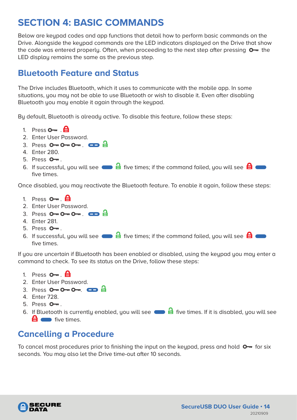# <span id="page-13-0"></span>**SECTION 4: BASIC COMMANDS**

Below are keypad codes and app functions that detail how to perform basic commands on the Drive. Alongside the keypad commands are the LED indicators displayed on the Drive that show the code was entered properly. Often, when proceeding to the next step after pressing  $\bullet$  the LED display remains the same as the previous step.

### **Bluetooth Feature and Status**

The Drive includes Bluetooth, which it uses to communicate with the mobile app. In some situations, you may not be able to use Bluetooth or wish to disable it. Even after disabling Bluetooth you may enable it again through the keypad.

By default, Bluetooth is already active. To disable this feature, follow these steps:

- 1. Press  $\mathbf{O}_{\mathbf{m}}$   $\mathbf{H}$
- 2. Enter User Password.
- 3. Press  $O O O -$ .  $CD =$
- 4. Enter 280.
- 5. Press  $O_{\overline{m}}$ .
- 6. If successful, you will see  $\blacksquare$  five times; if the command failed, you will see  $\blacksquare$ five times.

Once disabled, you may reactivate the Bluetooth feature. To enable it again, follow these steps:

- 1. Press  $\mathbf{O}_{\mathbf{m}}$   $\mathbf{H}$
- 2. Enter User Password.
- 3. Press  $O O O -$ .  $CD =$
- 4. Enter 281.
- $5.$  Press  $0 1$ .
- 6. If successful, you will see  $\blacksquare$  five times; if the command failed, you will see  $\blacksquare$ five times.

If you are uncertain if Bluetooth has been enabled or disabled, using the keypad you may enter a command to check. To see its status on the Drive, follow these steps:

- 1. Press  $O_{\overline{m}}$   $\overline{H}$
- 2. Enter User Password.
- 3. Press  $O O O -$ .  $CD =$
- 4. Enter 728.
- 5. Press  $O_{\overline{m}}$ .
- 6. If Bluetooth is currently enabled, you will see  $\qquad \qquad \blacksquare$  five times. If it is disabled, you will see **f** ive times.

### **Cancelling a Procedure**

To cancel most procedures prior to finishing the input on the keupad, press and hold  $\mathbf{Q}$  for six seconds. You may also let the Drive time-out after 10 seconds.

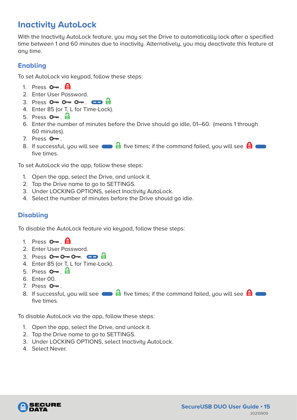# <span id="page-14-0"></span>**Inactivity AutoLock**

With the Inactivity AutoLock feature, you may set the Drive to automatically lock after a specified time between 1 and 60 minutes due to inactivity. Alternatively, you may deactivate this feature at any time.

#### **Enabling**

To set AutoLock via keypad, follow these steps:

- 1. Press  $\mathbf{O}$   $\blacksquare$   $\blacksquare$
- 2. Enter User Password.
- 3. Press  $O O O -$ .  $CD = 1$
- 4. Enter 85 (or T, L for Time-Lock).
- 5. Press  $\mathbf{O}$ <sub>7</sub>.  $\mathbf{H}$
- 6. Enter the number of minutes before the Drive should go idle, 01–60. (means 1 through 60 minutes).
- 7. Press  $O_{\overline{m}}$ .
- 8. If successful, you will see  $\blacksquare$  five times; if the command failed, you will see  $\blacksquare$ five times.

To set AutoLock via the app, follow these steps:

- 1. Open the app, select the Drive, and unlock it.
- 2. Tap the Drive name to go to SETTINGS.
- 3. Under LOCKING OPTIONS, select Inactivity AutoLock.
- 4. Select the number of minutes before the Drive should go idle.

#### **Disabling**

To disable the AutoLock feature via keypad, follow these steps:

- 1. Press  $\mathbf{O}_{\mathbf{m}}$   $\mathbf{\Theta}$
- 2. Enter User Password.
- 3. Press  $O \rightarrow O \rightarrow O \rightarrow \bullet$ .
- 4. Enter 85 (or T, L for Time-Lock).
- 5. Press  $\mathbf{O}$ <sub>77</sub>.  $\mathbf{H}$
- 6. Enter 00.
- 7. Press  $O_{\overline{m}}$ .
- 8. If successful, you will see  $\blacksquare$  five times; if the command failed, you will see  $\blacksquare$ five times.

To disable AutoLock via the app, follow these steps:

- 1. Open the app, select the Drive, and unlock it.
- 2. Tap the Drive name to go to SETTINGS.
- 3. Under LOCKING OPTIONS, select Inactivity AutoLock.
- 4. Select Never.

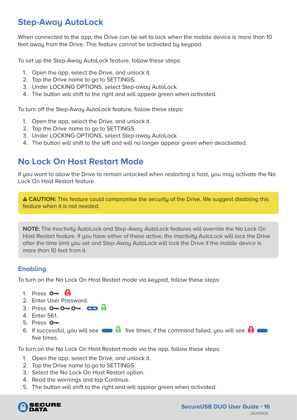### <span id="page-15-0"></span>**Step-Away AutoLock**

When connected to the app, the Drive can be set to lock when the mobile device is more than 10 feet away from the Drive. This feature cannot be activated by keypad.

To set up the Step-Away AutoLock feature, follow these steps:

- 1. Open the app, select the Drive, and unlock it.
- 2. Tap the Drive name to go to SETTINGS.
- 3. Under LOCKING OPTIONS, select Step-away AutoLock.
- 4. The button will shift to the right and will appear green when activated.

To turn off the Step-Away AutoLock feature, follow these steps:

- 1. Open the app, select the Drive, and unlock it.
- 2. Tap the Drive name to go to SETTINGS.
- 3. Under LOCKING OPTIONS, select Step-away AutoLock.
- 4. The button will shift to the left and will no longer appear green when deactivated.

### **No Lock On Host Restart Mode**

If you want to allow the Drive to remain unlocked when restarting a host, you may activate the No Lock On Host Restart feature.

 **CAUTION:** This feature could compromise the security of the Drive. We suggest disabling this feature when it is not needed.

**NOTE:** The Inactivity AutoLock and Step-Away AutoLock features will override the No Lock On Host Restart feature. If you have either of these active, the Inactivity AutoLock will lock the Drive after the time limit you set and Step-Away AutoLock will lock the Drive if the mobile device is more than 10 feet from it.

#### **Enabling**

To turn on the No Lock On Host Restart mode via keypad, follow these steps:

- 1. Press  $\mathbf{O}_{\mathbf{m}}$   $\mathbf{H}$
- 2. Enter User Password.
- 3. Press  $O O O \frac{1}{2}$
- 4. Enter 561.
- 5. Press  $O_{\overline{m}}$ .
- 6. If successful, you will see  $\blacksquare$  five times; if the command failed, you will see  $\blacksquare$ five times.

To turn on the No Lock On Host Restart mode via the app, follow these steps:

- 1. Open the app, select the Drive, and unlock it.
- 2. Tap the Drive name to go to SETTINGS.
- 3. Select the No Lock On Host Restart option.
- 4. Read the warnings and tap Continue.
- 5. The button will shift to the right and will appear green when activated.

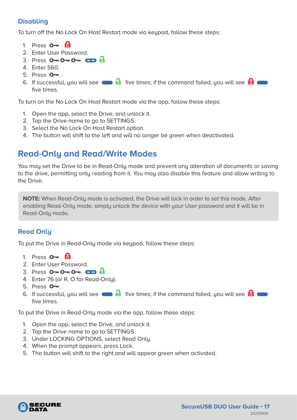#### <span id="page-16-0"></span>**Disabling**

To turn off the No Lock On Host Restart mode via keupad, follow these steps:

- 1. Press  $\mathbf{O}_{\mathbf{m}}$ .  $\mathbf{\Theta}$
- 2. Enter User Password.
- 3. Press  $O O O -$ .  $CD =$
- 4. Enter 560.
- $5.$  Press  $O_{\overline{m}}$ .
- 6. If successful, you will see  $\blacksquare$  five times; if the command failed, you will see  $\blacksquare$ five times.

To turn on the No Lock On Host Restart mode via the app, follow these steps:

- 1. Open the app, select the Drive, and unlock it.
- 2. Tap the Drive name to go to SETTINGS.
- 3. Select the No Lock On Host Restart option.
- 4. The button will shift to the left and will no longer be green when deactivated.

#### **Read-Only and Read/Write Modes**

You may set the Drive to be in Read-Only mode and prevent any alteration of documents or saving to the drive, permitting only reading from it. You may also disable this feature and allow writing to the Drive.

**NOTE:** When Read-Only mode is activated, the Drive will lock in order to set this mode. After enabling Read-Only mode, simply unlock the device with your User password and it will be in Read-Only mode**.**

#### **Read Only**

To put the Drive in Read-Only mode via keupad, follow these steps:

- 1. Press  $\mathbf{O}_{\mathbf{m}}$   $\mathbf{\Theta}$
- 2. Enter User Password.
- 3. Press  $O O O -$ .  $CD = O$
- 4. Enter 76 (or R, O for Read-Only).
- 5. Press  $O_{\overline{m}}$ .
- 6. If successful, you will see  $\blacksquare$  five times; if the command failed, you will see  $\blacksquare$ five times.

To put the Drive in Read-Only mode via the app, follow these steps:

- 1. Open the app, select the Drive, and unlock it.
- 2. Tap the Drive name to go to SETTINGS.
- 3. Under LOCKING OPTIONS, select Read Only.
- 4. When the prompt appears, press Lock.
- 5. The button will shift to the right and will appear green when activated.

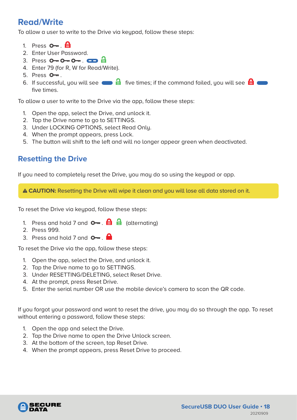### **Read/Write**

To allow a user to write to the Drive via keupad, follow these steps:

- 1. Press  $\mathbf{O}$ <sub>m</sub>.  $\mathbf{\Theta}$
- 2. Enter User Password.
- $3.$  Press  $0 \rightarrow 0 \rightarrow 0 \rightarrow 0$
- 4. Enter 79 (for R, W for Read/Write).
- 5. Press  $O_{\overline{m}}$ .
- 6. If successful, you will see  $\blacksquare$  five times; if the command failed, you will see  $\blacksquare$ five times.

To allow a user to write to the Drive via the app, follow these steps:

- 1. Open the app, select the Drive, and unlock it.
- 2. Tap the Drive name to go to SETTINGS.
- 3. Under LOCKING OPTIONS, select Read Only.
- 4. When the prompt appears, press Lock.
- 5. The button will shift to the left and will no longer appear green when deactivated.

#### **Resetting the Drive**

If you need to completely reset the Drive, you may do so using the keypad or app.

 **CAUTION:** Resetting the Drive will wipe it clean and you will lose all data stored on it.

To reset the Drive via keypad, follow these steps:

- 1. Press and hold 7 and  $\circ$ .  $\oplus$   $\oplus$  (alternating)
- 2. Press 999.
- 3. Press and hold 7 and  $\circ$ .

To reset the Drive via the app, follow these steps:

- 1. Open the app, select the Drive, and unlock it.
- 2. Tap the Drive name to go to SETTINGS.
- 3. Under RESETTING/DELETING, select Reset Drive.
- 4. At the prompt, press Reset Drive.
- 5. Enter the serial number OR use the mobile device's camera to scan the QR code.

If you forgot your password and want to reset the drive, you may do so through the app. To reset without entering a password, follow these steps:

- 1. Open the app and select the Drive.
- 2. Tap the Drive name to open the Drive Unlock screen.
- 3. At the bottom of the screen, tap Reset Drive.
- 4. When the prompt appears, press Reset Drive to proceed.

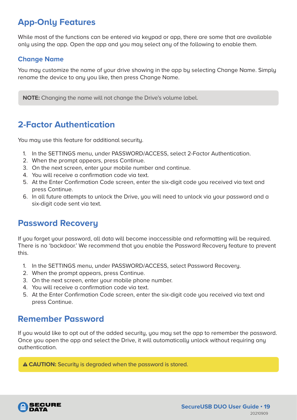# <span id="page-18-0"></span>**App-Only Features**

While most of the functions can be entered via keypad or app, there are some that are available only using the app. Open the app and you may select any of the following to enable them.

#### **Change Name**

You may customize the name of your drive showing in the app by selecting Change Name. Simply rename the device to any you like, then press Change Name.

**NOTE:** Changing the name will not change the Drive's volume label.

### **2-Factor Authentication**

You may use this feature for additional security.

- 1. In the SETTINGS menu, under PASSWORD/ACCESS, select 2-Factor Authentication.
- 2. When the prompt appears, press Continue.
- 3. On the next screen, enter your mobile number and continue.
- 4. You will receive a confirmation code via text.
- 5. At the Enter Confirmation Code screen, enter the six-digit code you received via text and press Continue.
- 6. In all future attempts to unlock the Drive, you will need to unlock via your password and a six-digit code sent via text.

### **Password Recovery**

If you forget your password, all data will become inaccessible and reformatting will be required. There is no 'backdoor.' We recommend that you enable the Password Recovery feature to prevent this.

- 1. In the SETTINGS menu, under PASSWORD/ACCESS, select Password Recovery.
- 2. When the prompt appears, press Continue.
- 3. On the next screen, enter your mobile phone number.
- 4. You will receive a confirmation code via text.
- 5. At the Enter Confirmation Code screen, enter the six-digit code you received via text and press Continue.

#### **Remember Password**

If you would like to opt out of the added security, you may set the app to remember the password. Once you open the app and select the Drive, it will automatically unlock without requiring any authentication.

**A CAUTION:** Securitu is degraded when the password is stored.

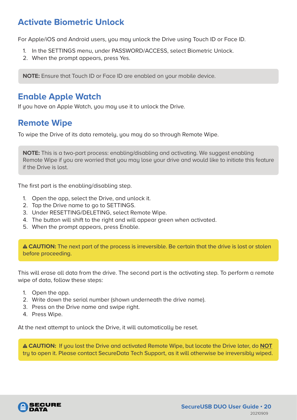### <span id="page-19-0"></span>**Activate Biometric Unlock**

For Apple/iOS and Android users, you may unlock the Drive using Touch ID or Face ID.

- 1. In the SETTINGS menu, under PASSWORD/ACCESS, select Biometric Unlock.
- 2. When the prompt appears, press Yes.

**NOTE:** Ensure that Touch ID or Face ID are enabled on your mobile device.

#### **Enable Apple Watch**

If you have an Apple Watch, you may use it to unlock the Drive.

### **Remote Wipe**

To wipe the Drive of its data remotely, you may do so through Remote Wipe.

**NOTE:** This is a two-part process: enabling/disabling and activating. We suggest enabling Remote Wipe if you are worried that you may lose your drive and would like to initiate this feature if the Drive is lost.

The first part is the enabling/disabling step.

- 1. Open the app, select the Drive, and unlock it.
- 2. Tap the Drive name to go to SETTINGS.
- 3. Under RESETTING/DELETING, select Remote Wipe.
- 4. The button will shift to the right and will appear green when activated.
- 5. When the prompt appears, press Enable.

 **CAUTION:** The next part of the process is irreversible. Be certain that the drive is lost or stolen before proceeding.

This will erase all data from the drive. The second part is the activating step. To perform a remote wipe of data, follow these steps:

- 1. Open the app.
- 2. Write down the serial number (shown underneath the drive name).
- 3. Press on the Drive name and swipe right.
- 4. Press Wipe.

At the next attempt to unlock the Drive, it will automatically be reset.

 **CAUTION:** If you lost the Drive and activated Remote Wipe, but locate the Drive later, do **NOT** try to open it. Please contact SecureData Tech Support, as it will otherwise be irreversibly wiped.

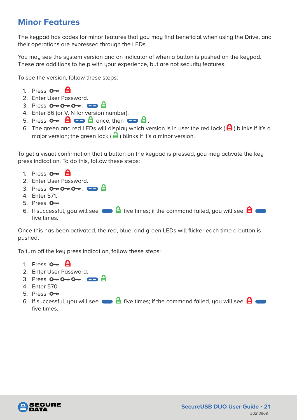### <span id="page-20-0"></span>**Minor Features**

The keypad has codes for minor features that you may find beneficial when using the Drive, and their operations are expressed through the LEDs.

You may see the system version and an indicator of when a button is pushed on the keypad. These are additions to help with your experience, but are not security features.

To see the version, follow these steps:

- 1. Press  $O_{\overline{m}}$   $\overline{H}$
- 2. Enter User Password.
- 3. Press  $O O O -$ .  $CD =$
- 4. Enter 86 (or V, N for version number).
- 5. Press . once, then .
- 6. The green and red LEDs will display which version is in use: the red lock ( $\bigoplus$ ) blinks if it's a major version; the green lock ( $\triangleq$ ) blinks if it's a minor version.

To get a visual confirmation that a button on the keypad is pressed, you may activate the key press indication. To do this, follow these steps:

- 1. Press  $O B$
- 2. Enter User Password.
- 3. Press  $O O O -$ .  $CD = \frac{1}{2}$
- 4. Enter 571.
- $5.$  Press  $O_{\overline{m}}$ .
- 6. If successful, you will see  $\blacksquare$  five times; if the command failed, you will see  $\blacksquare$ five times.

Once this has been activated, the red, blue, and green LEDs will flicker each time a button is pushed,

To turn off the key press indication, follow these steps:

- 1. Press  $\mathbf{O}_{\mathbf{m}}$   $\mathbf{H}$
- 2. Enter User Password.
- $3.$  Press  $0 \rightarrow 0 \rightarrow 0 \rightarrow 0$
- 4. Enter 570.
- 5. Press  $O_{\overline{a}}$ .
- 6. If successful, you will see  $\Box$  five times; if the command failed, you will see  $\Box$ five times.

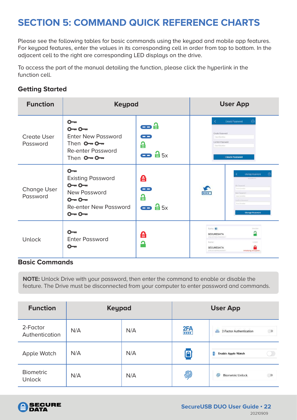# <span id="page-21-0"></span>**SECTION 5: COMMAND QUICK REFERENCE CHARTS**

Please see the following tables for basic commands using the keypad and mobile app features. For keypad features, enter the values in its corresponding cell in order from top to bottom. In the adjacent cell to the right are corresponding LED displays on the drive.

To access the part of the manual detailing the function, please click the hyperlink in the function cell.

#### **Getting Started**

| <b>Function</b>                | <b>Keypad</b>                                                                                                               |                                                   |                                                                                                                       | <b>User App</b>                                                                                                                                      |
|--------------------------------|-----------------------------------------------------------------------------------------------------------------------------|---------------------------------------------------|-----------------------------------------------------------------------------------------------------------------------|------------------------------------------------------------------------------------------------------------------------------------------------------|
| <b>Create User</b><br>Password | $O - r$<br>$0 - 0 -$<br><b>Enter New Password</b><br>Then $O - O -$<br><b>Re-enter Password</b><br>Then $O - O -$           | æå<br><b>COLOR</b><br>£<br>$\bullet$ $\bullet$ 5x | K<br>Croate Pagoword<br><b>Citiz-Simmax</b><br>Confirm Password<br>Cone Simother                                      | <b>Create Pasaword</b><br>$\left($<br><b>Create Password</b>                                                                                         |
| <b>Change User</b><br>Password | $\Omega$<br><b>Existing Password</b><br>$0 - 0 -$<br>New Password<br>$0 - 0 -$<br><b>Re-enter New Password</b><br>$0 - 0 -$ | 台<br>œ<br>А<br>$\bullet$ $\bullet$ 5x             | $\frac{1}{2}$                                                                                                         | Change Password<br>SEIGED-FR<br>Old Fassword<br><b>Director</b><br>June Patricks<br>Einrite-We<br>control Heavy<br>Case-Detroited<br>Change Password |
| <b>Unlock</b>                  | $\sim$<br><b>Enter Password</b><br>$O-$                                                                                     | А<br>$\ddot{\bullet}$                             | Name <b>O</b><br><b>SECUREDATA</b><br>S/N:SUNVISAYOUB0057<br><b>Name:</b><br><b>SECUREDATA</b><br>5/N:605504403000001 | Univision<br>Libration<br>Initializing Encryption.                                                                                                   |

#### **Basic Commands**

**NOTE:** Unlock Drive with your password, then enter the command to enable or disable the feature. The Drive must be disconnected from your computer to enter password and commands.

| <b>Function</b>                   | <b>Keypad</b> |     |              | <b>User App</b>                            |
|-----------------------------------|---------------|-----|--------------|--------------------------------------------|
| 2-Factor<br>Authentication        | N/A           | N/A | 2FA          | 三面<br>2-Factor Authentication<br>畾         |
| Apple Watch                       | N/A           | N/A | $\mathbf{P}$ | n<br><b>Enable Apple Watch</b>             |
| <b>Biometric</b><br><b>Unlock</b> | N/A           | N/A | 劢            | 61<br>$\bigcup$<br><b>Biometric Unlock</b> |

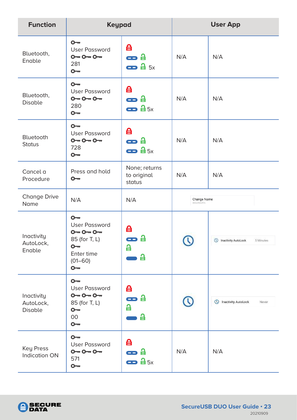| <b>Function</b>                    | <b>Keypad</b>                                                                                                        |                                              |                                  | <b>User App</b>                               |
|------------------------------------|----------------------------------------------------------------------------------------------------------------------|----------------------------------------------|----------------------------------|-----------------------------------------------|
| Bluetooth,<br>Enable               | $O - r$<br><b>User Password</b><br>$0 - 0 - 0 -$<br>281<br>$O - r$                                                   | 台<br>æ a<br>$\bullet$ $\bullet$ 5x           | N/A                              | N/A                                           |
| Bluetooth,<br><b>Disable</b>       | $O - r$<br><b>User Password</b><br>$0 - 0 - 0 -$<br>280<br>$O - r$                                                   | 台<br>æ a<br>$\bullet$ $\bullet$ 5x           | N/A                              | N/A                                           |
| Bluetooth<br><b>Status</b>         | $O - r$<br><b>User Password</b><br>$0 - 0 - 0 -$<br>728<br>$O - r$                                                   | 台<br>æ a<br>$\bullet$ $\bullet$ 5x           | N/A                              | N/A                                           |
| Cancel a<br>Procedure              | Press and hold<br>$\mathsf{O}\mathsf{m}$                                                                             | None; returns<br>to original<br>status       | N/A                              | N/A                                           |
| <b>Change Drive</b><br>Name        | N/A                                                                                                                  | N/A                                          | Change Name<br><b>SECUREDATA</b> |                                               |
| Inactivity<br>AutoLock,<br>Enable  | $O - r$<br><b>User Password</b><br>$0 - 0 - 0 -$<br>85 (for T, L)<br>$O - r$<br>Enter time<br>$(01 - 60)$<br>$O - n$ | 台<br>台<br>88 S<br>읍<br>읍                     |                                  | <sup>1</sup> Inactivity AutoLock<br>5 Minutes |
| Inactivity<br>AutoLock,<br>Disable | $O - r$<br><b>User Password</b><br>$0 - 0 - 0 -$<br>85 (for T, L)<br>$O - r$<br>$00\,$<br>$O - r$                    | 台<br>$\mathbf{\Theta}$ a<br>a<br>읍           |                                  | (V) Inactivity AutoLock<br>Never              |
| Key Press<br><b>Indication ON</b>  | $O - r$<br><b>User Password</b><br>$0 - 0 - 0 -$<br>571<br>$O - r$                                                   | 台<br>e a<br>$\bullet$ $\theta$ <sub>5x</sub> | N/A                              | N/A                                           |

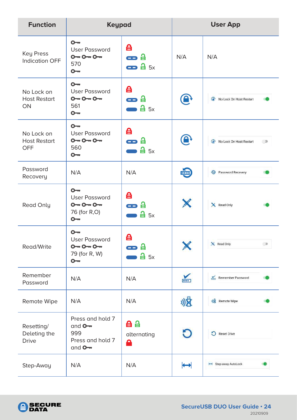| <b>Function</b>                                 | <b>Keypad</b>                                                               |                                    |                  | <b>User App</b>              |
|-------------------------------------------------|-----------------------------------------------------------------------------|------------------------------------|------------------|------------------------------|
| <b>Key Press</b><br><b>Indication OFF</b>       | $O - r$<br><b>User Password</b><br>$0 - 0 - 0 -$<br>570<br>$\sim$           | 台<br>æ a<br>$\bullet$ $\bullet$ 5x | N/A              | N/A                          |
| No Lock on<br><b>Host Restart</b><br>ON         | $O -$<br><b>User Password</b><br>$0 - 0 - 0 -$<br>561<br>$O - r$            | 台<br>æ a<br>45x                    | $\mathbf \Theta$ | No Lock On Host Restart      |
| No Lock on<br><b>Host Restart</b><br><b>OFF</b> | $O -$<br><b>User Password</b><br>$0 - 0 - 0 -$<br>560<br>$\overline{O}$     | 台<br>æ a<br>45x                    | $\mathbf \Theta$ | No Lock On Host Restart<br>ಾ |
| Password<br>Recovery                            | N/A                                                                         | N/A                                | $\bigoplus$      | Password Recovery            |
| Read Only                                       | $O - n$<br><b>User Password</b><br>$0 - 0 - 0 -$<br>76 (for R,O)<br>$O - r$ | 台<br>æ a<br>45x                    | X                | <b>X</b> Read Only           |
| Read/Write                                      | $O -$<br><b>User Password</b><br>$0 - 0 - 0 -$<br>79 (for R, W)<br>$O-$     | 台<br>45x                           |                  | X Read Only<br>ා             |
| Remember<br>Password                            | N/A                                                                         | N/A                                | $\frac{1}{1}$    | Remember Password            |
| Remote Wipe                                     | N/A                                                                         | N/A                                | 小区               | <b>No</b> Remote Wipe        |
| Resetting/<br>Deleting the<br><b>Drive</b>      | Press and hold 7<br>and $O -$<br>999<br>Press and hold 7<br>and $O -$       | 自自<br>alternating<br>А             | O                | Reset Drive                  |
| Step-Away                                       | N/A                                                                         | N/A                                | $\mapsto$        | Step-away AutoLock           |